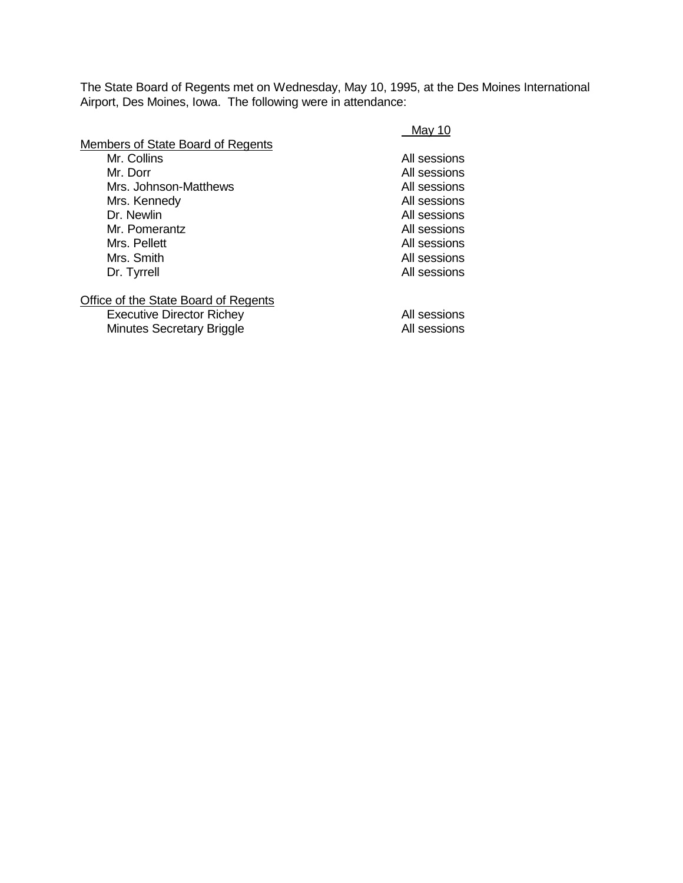The State Board of Regents met on Wednesday, May 10, 1995, at the Des Moines International Airport, Des Moines, Iowa. The following were in attendance:

|                                                                                                                                                                                                                                                                                                                                | May 10       |
|--------------------------------------------------------------------------------------------------------------------------------------------------------------------------------------------------------------------------------------------------------------------------------------------------------------------------------|--------------|
| Members of State Board of Regents                                                                                                                                                                                                                                                                                              |              |
| Mr. Collins                                                                                                                                                                                                                                                                                                                    | All sessions |
| Mr. Dorr                                                                                                                                                                                                                                                                                                                       | All sessions |
| Mrs. Johnson-Matthews                                                                                                                                                                                                                                                                                                          | All sessions |
| Mrs. Kennedy                                                                                                                                                                                                                                                                                                                   | All sessions |
| Dr. Newlin                                                                                                                                                                                                                                                                                                                     | All sessions |
| Mr. Pomerantz                                                                                                                                                                                                                                                                                                                  | All sessions |
| Mrs. Pellett                                                                                                                                                                                                                                                                                                                   | All sessions |
| Mrs. Smith                                                                                                                                                                                                                                                                                                                     | All sessions |
| Dr. Tyrrell                                                                                                                                                                                                                                                                                                                    | All sessions |
| $\bigcap_{i=1}^{n}$ $\bigcap_{i=1}^{n}$ $\bigcap_{i=1}^{n}$ $\bigcap_{i=1}^{n}$ $\bigcap_{i=1}^{n}$ $\bigcap_{i=1}^{n}$ $\bigcap_{i=1}^{n}$ $\bigcap_{i=1}^{n}$ $\bigcap_{i=1}^{n}$ $\bigcap_{i=1}^{n}$ $\bigcap_{i=1}^{n}$ $\bigcap_{i=1}^{n}$ $\bigcap_{i=1}^{n}$ $\bigcap_{i=1}^{n}$ $\bigcap_{i=1}^{n}$ $\bigcap_{i=1}^{n$ |              |

## **Office of the State Board of Regents**

Executive Director Richey **All sessions** Minutes Secretary Briggle **All sessions**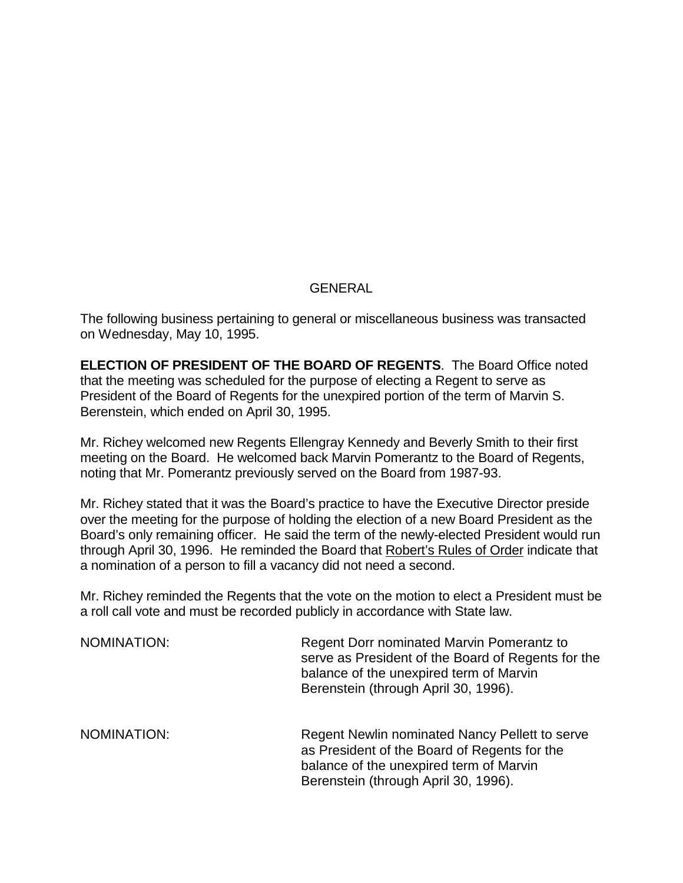## **GENERAL**

The following business pertaining to general or miscellaneous business was transacted on Wednesday, May 10, 1995.

**ELECTION OF PRESIDENT OF THE BOARD OF REGENTS**. The Board Office noted that the meeting was scheduled for the purpose of electing a Regent to serve as President of the Board of Regents for the unexpired portion of the term of Marvin S. Berenstein, which ended on April 30, 1995.

Mr. Richey welcomed new Regents Ellengray Kennedy and Beverly Smith to their first meeting on the Board. He welcomed back Marvin Pomerantz to the Board of Regents, noting that Mr. Pomerantz previously served on the Board from 1987-93.

Mr. Richey stated that it was the Board's practice to have the Executive Director preside over the meeting for the purpose of holding the election of a new Board President as the Board's only remaining officer. He said the term of the newly-elected President would run through April 30, 1996. He reminded the Board that Robert's Rules of Order indicate that a nomination of a person to fill a vacancy did not need a second.

Mr. Richey reminded the Regents that the vote on the motion to elect a President must be a roll call vote and must be recorded publicly in accordance with State law.

| NOMINATION: | Regent Dorr nominated Marvin Pomerantz to<br>serve as President of the Board of Regents for the<br>balance of the unexpired term of Marvin<br>Berenstein (through April 30, 1996). |
|-------------|------------------------------------------------------------------------------------------------------------------------------------------------------------------------------------|
| NOMINATION: | Regent Newlin nominated Nancy Pellett to serve<br>as President of the Board of Regents for the<br>balance of the unexpired term of Marvin<br>Berenstein (through April 30, 1996).  |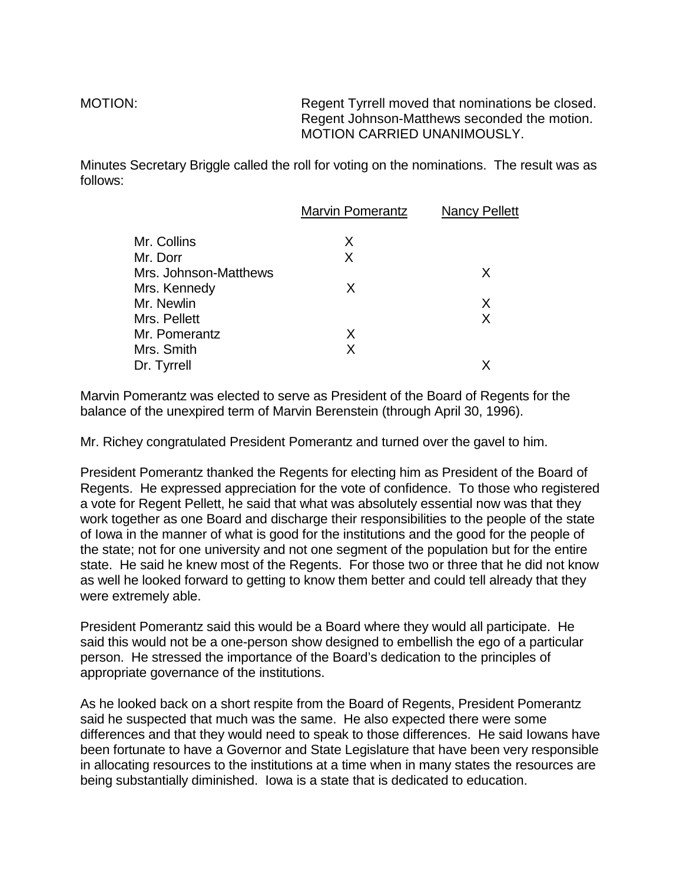MOTION: Regent Tyrrell moved that nominations be closed. Regent Johnson-Matthews seconded the motion. MOTION CARRIED UNANIMOUSLY.

Minutes Secretary Briggle called the roll for voting on the nominations. The result was as follows:

|                       | <b>Marvin Pomerantz</b> | <b>Nancy Pellett</b> |
|-----------------------|-------------------------|----------------------|
| Mr. Collins           | X                       |                      |
| Mr. Dorr              | X                       |                      |
| Mrs. Johnson-Matthews |                         | X                    |
| Mrs. Kennedy          | X                       |                      |
| Mr. Newlin            |                         | X                    |
| Mrs. Pellett          |                         | X                    |
| Mr. Pomerantz         | X                       |                      |
| Mrs. Smith            | X                       |                      |
| Dr. Tyrrell           |                         | X                    |
|                       |                         |                      |

Marvin Pomerantz was elected to serve as President of the Board of Regents for the balance of the unexpired term of Marvin Berenstein (through April 30, 1996).

Mr. Richey congratulated President Pomerantz and turned over the gavel to him.

President Pomerantz thanked the Regents for electing him as President of the Board of Regents. He expressed appreciation for the vote of confidence. To those who registered a vote for Regent Pellett, he said that what was absolutely essential now was that they work together as one Board and discharge their responsibilities to the people of the state of Iowa in the manner of what is good for the institutions and the good for the people of the state; not for one university and not one segment of the population but for the entire state. He said he knew most of the Regents. For those two or three that he did not know as well he looked forward to getting to know them better and could tell already that they were extremely able.

President Pomerantz said this would be a Board where they would all participate. He said this would not be a one-person show designed to embellish the ego of a particular person. He stressed the importance of the Board's dedication to the principles of appropriate governance of the institutions.

As he looked back on a short respite from the Board of Regents, President Pomerantz said he suspected that much was the same. He also expected there were some differences and that they would need to speak to those differences. He said Iowans have been fortunate to have a Governor and State Legislature that have been very responsible in allocating resources to the institutions at a time when in many states the resources are being substantially diminished. Iowa is a state that is dedicated to education.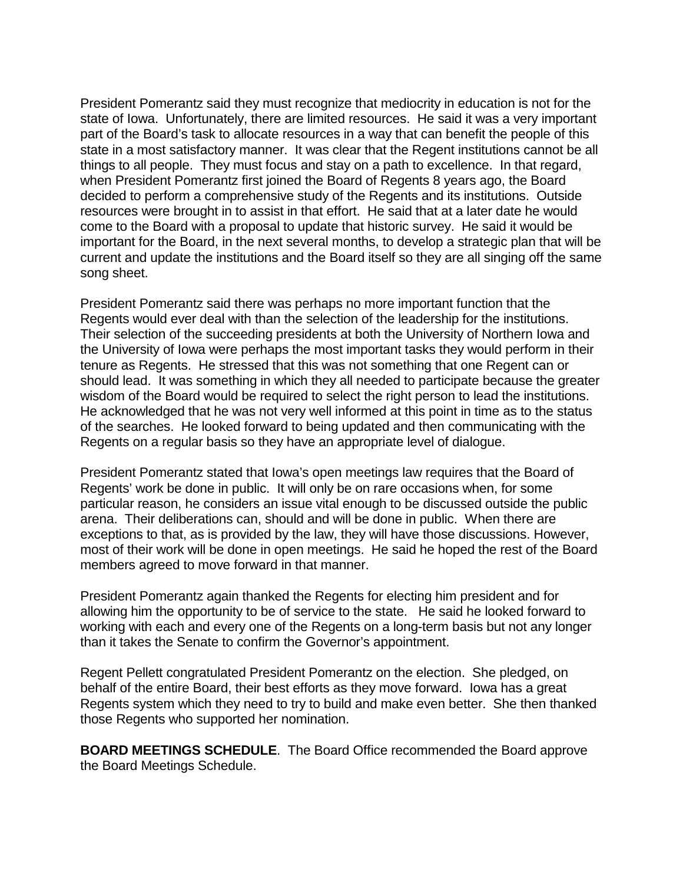President Pomerantz said they must recognize that mediocrity in education is not for the state of Iowa. Unfortunately, there are limited resources. He said it was a very important part of the Board's task to allocate resources in a way that can benefit the people of this state in a most satisfactory manner. It was clear that the Regent institutions cannot be all things to all people. They must focus and stay on a path to excellence. In that regard, when President Pomerantz first joined the Board of Regents 8 years ago, the Board decided to perform a comprehensive study of the Regents and its institutions. Outside resources were brought in to assist in that effort. He said that at a later date he would come to the Board with a proposal to update that historic survey. He said it would be important for the Board, in the next several months, to develop a strategic plan that will be current and update the institutions and the Board itself so they are all singing off the same song sheet.

President Pomerantz said there was perhaps no more important function that the Regents would ever deal with than the selection of the leadership for the institutions. Their selection of the succeeding presidents at both the University of Northern Iowa and the University of Iowa were perhaps the most important tasks they would perform in their tenure as Regents. He stressed that this was not something that one Regent can or should lead. It was something in which they all needed to participate because the greater wisdom of the Board would be required to select the right person to lead the institutions. He acknowledged that he was not very well informed at this point in time as to the status of the searches. He looked forward to being updated and then communicating with the Regents on a regular basis so they have an appropriate level of dialogue.

President Pomerantz stated that Iowa's open meetings law requires that the Board of Regents' work be done in public. It will only be on rare occasions when, for some particular reason, he considers an issue vital enough to be discussed outside the public arena. Their deliberations can, should and will be done in public. When there are exceptions to that, as is provided by the law, they will have those discussions. However, most of their work will be done in open meetings. He said he hoped the rest of the Board members agreed to move forward in that manner.

President Pomerantz again thanked the Regents for electing him president and for allowing him the opportunity to be of service to the state. He said he looked forward to working with each and every one of the Regents on a long-term basis but not any longer than it takes the Senate to confirm the Governor's appointment.

Regent Pellett congratulated President Pomerantz on the election. She pledged, on behalf of the entire Board, their best efforts as they move forward. Iowa has a great Regents system which they need to try to build and make even better. She then thanked those Regents who supported her nomination.

**BOARD MEETINGS SCHEDULE**. The Board Office recommended the Board approve the Board Meetings Schedule.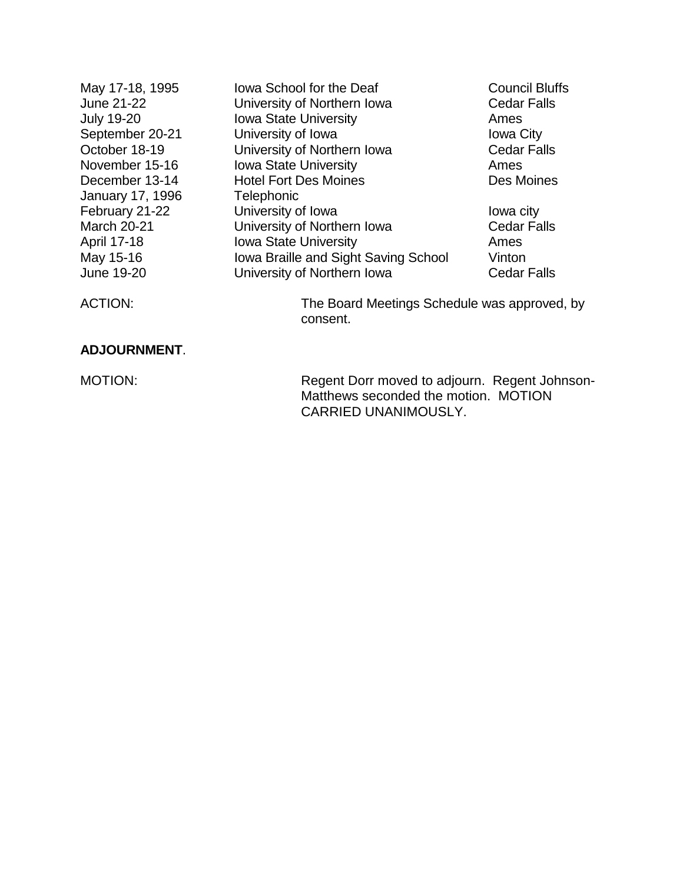| May 17-18, 1995         | lowa School for the Deaf                     | <b>Council Bluffs</b> |
|-------------------------|----------------------------------------------|-----------------------|
| June 21-22              | University of Northern Iowa                  | <b>Cedar Falls</b>    |
| <b>July 19-20</b>       | <b>Iowa State University</b>                 | Ames                  |
| September 20-21         | University of Iowa                           | <b>Iowa City</b>      |
| October 18-19           | University of Northern Iowa                  | <b>Cedar Falls</b>    |
| November 15-16          | <b>Iowa State University</b>                 | Ames                  |
| December 13-14          | <b>Hotel Fort Des Moines</b>                 | Des Moines            |
| <b>January 17, 1996</b> | <b>Telephonic</b>                            |                       |
| February 21-22          | University of Iowa                           | lowa city             |
| <b>March 20-21</b>      | University of Northern Iowa                  | <b>Cedar Falls</b>    |
| April 17-18             | <b>Iowa State University</b>                 | Ames                  |
| May 15-16               | Iowa Braille and Sight Saving School         | Vinton                |
| June 19-20              | University of Northern Iowa                  | <b>Cedar Falls</b>    |
| <b>ACTION:</b>          | The Board Meetings Schedule was approved, by |                       |

consent.

## **ADJOURNMENT**.

MOTION: MOTION: Regent Dorr moved to adjourn. Regent Johnson-Matthews seconded the motion. MOTION CARRIED UNANIMOUSLY.